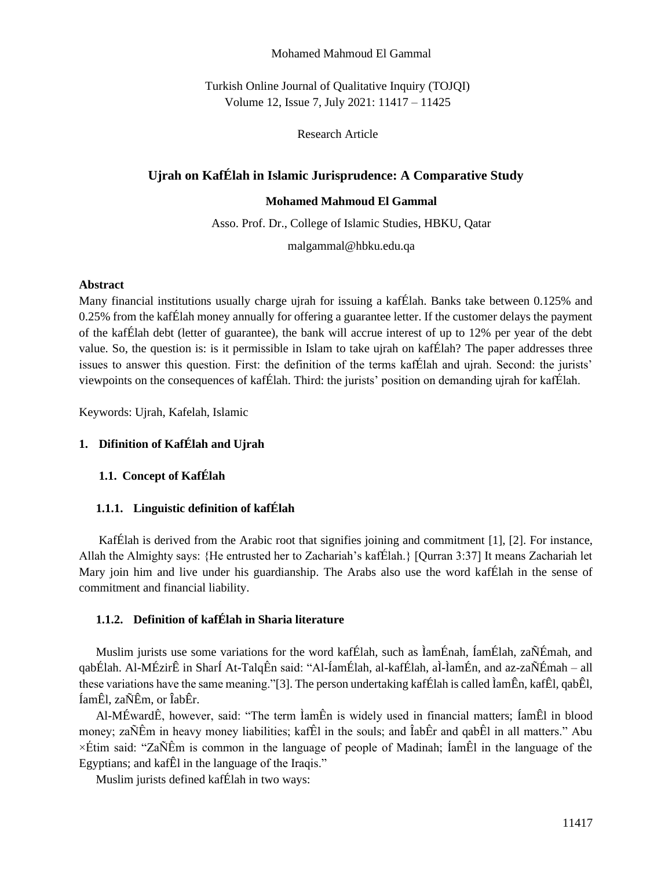#### Mohamed Mahmoud El Gammal

Turkish Online Journal of Qualitative Inquiry (TOJQI) Volume 12, Issue 7, July 2021: 11417 – 11425

Research Article

# **Ujrah on KafÉlah in Islamic Jurisprudence: A Comparative Study**

#### **Mohamed Mahmoud El Gammal**

Asso. Prof. Dr., College of Islamic Studies, HBKU, Qatar

malgammal@hbku.edu.qa

### **Abstract**

Many financial institutions usually charge ujrah for issuing a kafÉlah. Banks take between 0.125% and 0.25% from the kafÉlah money annually for offering a guarantee letter. If the customer delays the payment of the kafÉlah debt (letter of guarantee), the bank will accrue interest of up to 12% per year of the debt value. So, the question is: is it permissible in Islam to take ujrah on kafÉlah? The paper addresses three issues to answer this question. First: the definition of the terms kafÉlah and ujrah. Second: the jurists' viewpoints on the consequences of kafÉlah. Third: the jurists' position on demanding ujrah for kafÉlah.

Keywords: Ujrah, Kafelah, Islamic

## **1. Difinition of KafÉlah and Ujrah**

# **1.1. Concept of KafÉlah**

## **1.1.1. Linguistic definition of kafÉlah**

KafÉlah is derived from the Arabic root that signifies joining and commitment [1], [2]. For instance, Allah the Almighty says: {He entrusted her to Zachariah's kafÉlah.} [Qurran 3:37] It means Zachariah let Mary join him and live under his guardianship. The Arabs also use the word kafÉlah in the sense of commitment and financial liability.

## **1.1.2. Definition of kafÉlah in Sharia literature**

Muslim jurists use some variations for the word kafÉlah, such as ÌamÉnah, ÍamÉlah, zaÑÉmah, and qabÉlah. Al-MÉzirÊ in SharÍ At-TalqÊn said: "Al-ÍamÉlah, al-kafÉlah, aÌ-ÌamÉn, and az-zaÑÉmah – all these variations have the same meaning."[3]. The person undertaking kafÉlah is called ÌamÊn, kafÊl, qabÊl, ÍamÊl, zaÑÊm, or ÎabÊr.

Al-MÉwardÊ, however, said: "The term ÌamÊn is widely used in financial matters; ÍamÊl in blood money; zaÑÊm in heavy money liabilities; kafÊl in the souls; and ÎabÊr and qabÊl in all matters." Abu ×Étim said: "ZaÑÊm is common in the language of people of Madinah; ÍamÊl in the language of the Egyptians; and kafÊl in the language of the Iraqis."

Muslim jurists defined kafÉlah in two ways: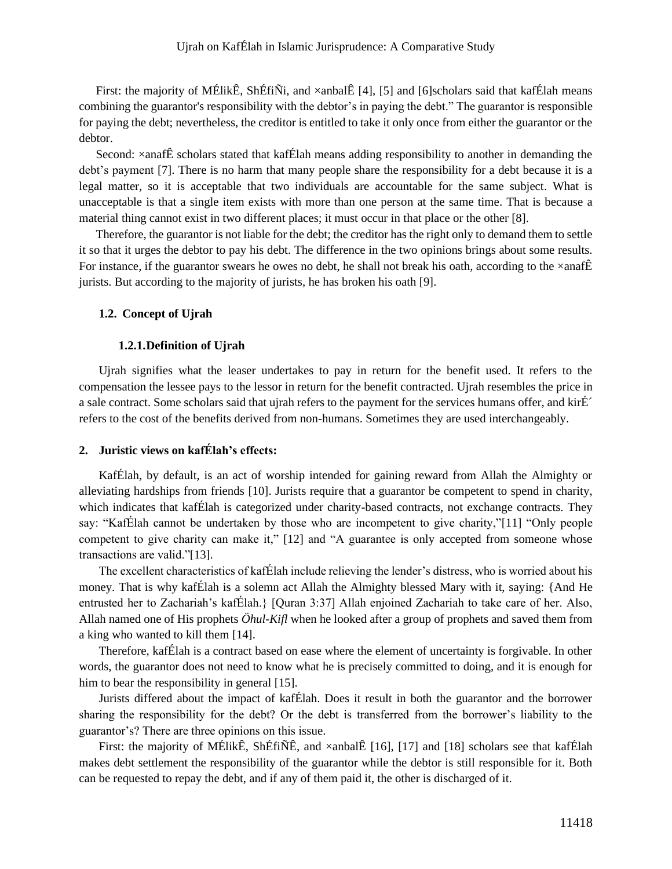First: the majority of MÉlikÊ, ShÉfiÑi, and ×anbalÊ [4], [5] and [6]scholars said that kafÉlah means combining the guarantor's responsibility with the debtor's in paying the debt." The guarantor is responsible for paying the debt; nevertheless, the creditor is entitled to take it only once from either the guarantor or the debtor.

Second:  $\times$ anafÊ scholars stated that kafÉlah means adding responsibility to another in demanding the debt's payment [7]. There is no harm that many people share the responsibility for a debt because it is a legal matter, so it is acceptable that two individuals are accountable for the same subject. What is unacceptable is that a single item exists with more than one person at the same time. That is because a material thing cannot exist in two different places; it must occur in that place or the other [8].

Therefore, the guarantor is not liable for the debt; the creditor has the right only to demand them to settle it so that it urges the debtor to pay his debt. The difference in the two opinions brings about some results. For instance, if the guarantor swears he owes no debt, he shall not break his oath, according to the  $\times$ anafÊ jurists. But according to the majority of jurists, he has broken his oath [9].

## **1.2. Concept of Ujrah**

## **1.2.1.Definition of Ujrah**

Ujrah signifies what the leaser undertakes to pay in return for the benefit used. It refers to the compensation the lessee pays to the lessor in return for the benefit contracted. Ujrah resembles the price in a sale contract. Some scholars said that ujrah refers to the payment for the services humans offer, and kirÉ´ refers to the cost of the benefits derived from non-humans. Sometimes they are used interchangeably.

### **2. Juristic views on kafÉlah's effects:**

KafÉlah, by default, is an act of worship intended for gaining reward from Allah the Almighty or alleviating hardships from friends [10]. Jurists require that a guarantor be competent to spend in charity, which indicates that kafÉlah is categorized under charity-based contracts, not exchange contracts. They say: "KafÉlah cannot be undertaken by those who are incompetent to give charity,"[11] "Only people competent to give charity can make it," [12] and "A guarantee is only accepted from someone whose transactions are valid."[13].

The excellent characteristics of kafÉlah include relieving the lender's distress, who is worried about his money. That is why kafÉlah is a solemn act Allah the Almighty blessed Mary with it, saying: {And He entrusted her to Zachariah's kafÉlah.} [Quran 3:37] Allah enjoined Zachariah to take care of her. Also, Allah named one of His prophets *Öhul-Kifl* when he looked after a group of prophets and saved them from a king who wanted to kill them [14].

Therefore, kafÉlah is a contract based on ease where the element of uncertainty is forgivable. In other words, the guarantor does not need to know what he is precisely committed to doing, and it is enough for him to bear the responsibility in general [15].

Jurists differed about the impact of kafÉlah. Does it result in both the guarantor and the borrower sharing the responsibility for the debt? Or the debt is transferred from the borrower's liability to the guarantor's? There are three opinions on this issue.

First: the majority of MÉlikÊ, ShÉfiÑÊ, and  $\times$ anbalÊ [16], [17] and [18] scholars see that kafÉlah makes debt settlement the responsibility of the guarantor while the debtor is still responsible for it. Both can be requested to repay the debt, and if any of them paid it, the other is discharged of it.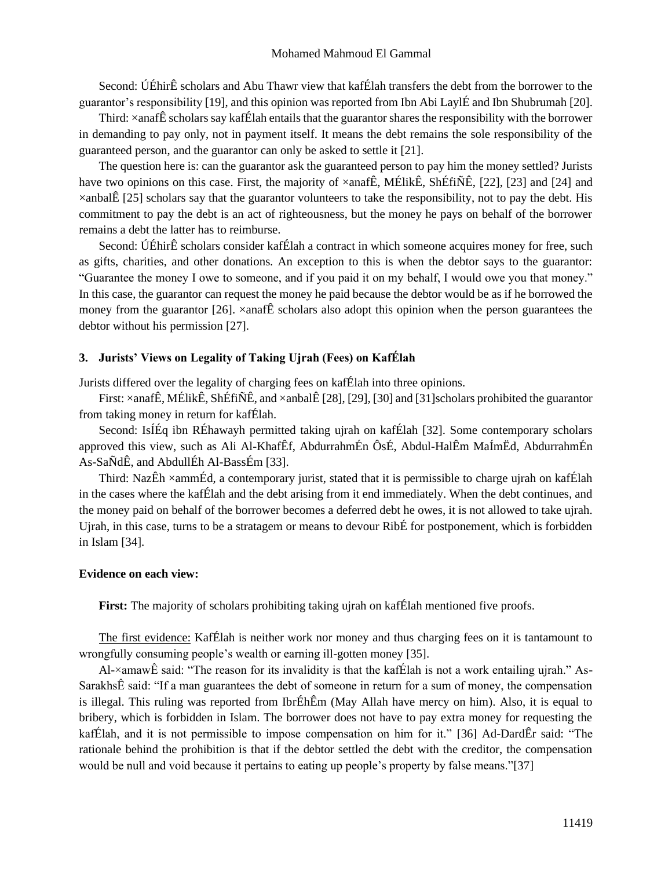Second: ÚÉhirÊ scholars and Abu Thawr view that kafÉlah transfers the debt from the borrower to the guarantor's responsibility [19], and this opinion was reported from Ibn Abi LaylÉ and Ibn Shubrumah [20].

Third: ×anafÊ scholars say kafÉlah entails that the guarantor shares the responsibility with the borrower in demanding to pay only, not in payment itself. It means the debt remains the sole responsibility of the guaranteed person, and the guarantor can only be asked to settle it [21].

The question here is: can the guarantor ask the guaranteed person to pay him the money settled? Jurists have two opinions on this case. First, the majority of  $\times$ anafÊ, MÉlikÊ, ShÉfiÑÊ, [22], [23] and [24] and  $\times$ anbalÊ [25] scholars say that the guarantor volunteers to take the responsibility, not to pay the debt. His commitment to pay the debt is an act of righteousness, but the money he pays on behalf of the borrower remains a debt the latter has to reimburse.

Second: ÚÉhirÊ scholars consider kafÉlah a contract in which someone acquires money for free, such as gifts, charities, and other donations. An exception to this is when the debtor says to the guarantor: "Guarantee the money I owe to someone, and if you paid it on my behalf, I would owe you that money." In this case, the guarantor can request the money he paid because the debtor would be as if he borrowed the money from the guarantor  $[26]$ .  $\times$ anafÊ scholars also adopt this opinion when the person guarantees the debtor without his permission [27].

### **3. Jurists' Views on Legality of Taking Ujrah (Fees) on KafÉlah**

Jurists differed over the legality of charging fees on kafÉlah into three opinions.

First: ×anafÊ, MÉlikÊ, ShÉfiÑÊ, and ×anbalÊ [28], [29], [30] and [31]scholars prohibited the guarantor from taking money in return for kafÉlah.

Second: IsÍÉq ibn RÉhawayh permitted taking ujrah on kafÉlah [32]. Some contemporary scholars approved this view, such as Ali Al-KhafÊf, AbdurrahmÉn ÔsÉ, Abdul-HalÊm MaÍmËd, AbdurrahmÉn As-SaÑdÊ, and AbdullÉh Al-BassÉm [33].

Third: NazÊh ×ammÉd, a contemporary jurist, stated that it is permissible to charge ujrah on kafÉlah in the cases where the kafÉlah and the debt arising from it end immediately. When the debt continues, and the money paid on behalf of the borrower becomes a deferred debt he owes, it is not allowed to take ujrah. Ujrah, in this case, turns to be a stratagem or means to devour RibÉ for postponement, which is forbidden in Islam [34].

#### **Evidence on each view:**

First: The majority of scholars prohibiting taking ujrah on kafÉlah mentioned five proofs.

The first evidence: KafÉlah is neither work nor money and thus charging fees on it is tantamount to wrongfully consuming people's wealth or earning ill-gotten money [35].

Al-×amawÊ said: "The reason for its invalidity is that the kafÉlah is not a work entailing ujrah." As-SarakhsÊ said: "If a man guarantees the debt of someone in return for a sum of money, the compensation is illegal. This ruling was reported from IbrÉhÊm (May Allah have mercy on him). Also, it is equal to bribery, which is forbidden in Islam. The borrower does not have to pay extra money for requesting the kafÉlah, and it is not permissible to impose compensation on him for it." [36] Ad-DardÊr said: "The rationale behind the prohibition is that if the debtor settled the debt with the creditor, the compensation would be null and void because it pertains to eating up people's property by false means."[37]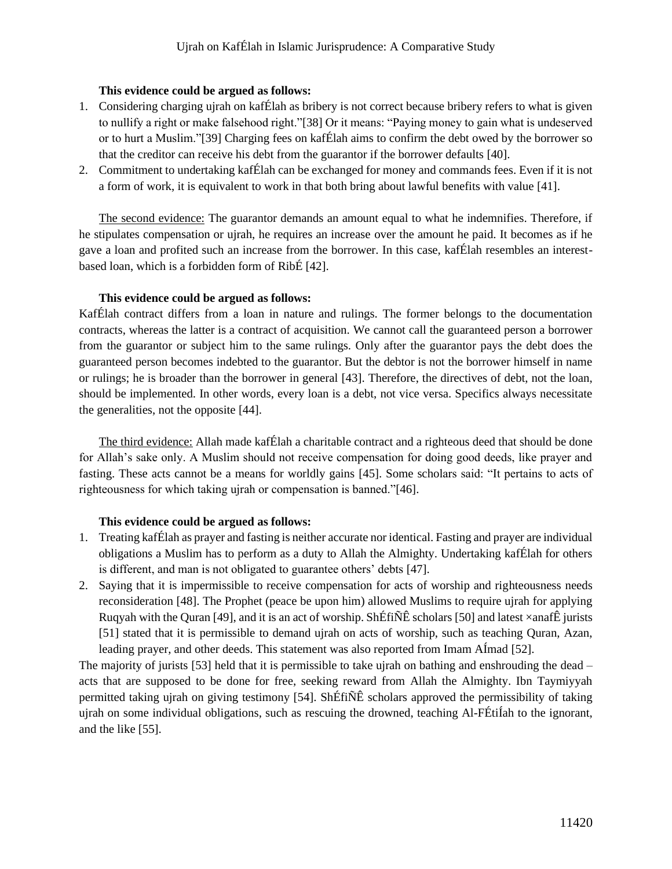## **This evidence could be argued as follows:**

- 1. Considering charging ujrah on kafÉlah as bribery is not correct because bribery refers to what is given to nullify a right or make falsehood right."[38] Or it means: "Paying money to gain what is undeserved or to hurt a Muslim."[39] Charging fees on kafÉlah aims to confirm the debt owed by the borrower so that the creditor can receive his debt from the guarantor if the borrower defaults [40].
- 2. Commitment to undertaking kafÉlah can be exchanged for money and commands fees. Even if it is not a form of work, it is equivalent to work in that both bring about lawful benefits with value [41].

The second evidence: The guarantor demands an amount equal to what he indemnifies. Therefore, if he stipulates compensation or ujrah, he requires an increase over the amount he paid. It becomes as if he gave a loan and profited such an increase from the borrower. In this case, kafÉlah resembles an interestbased loan, which is a forbidden form of RibÉ [42].

## **This evidence could be argued as follows:**

KafÉlah contract differs from a loan in nature and rulings. The former belongs to the documentation contracts, whereas the latter is a contract of acquisition. We cannot call the guaranteed person a borrower from the guarantor or subject him to the same rulings. Only after the guarantor pays the debt does the guaranteed person becomes indebted to the guarantor. But the debtor is not the borrower himself in name or rulings; he is broader than the borrower in general [43]. Therefore, the directives of debt, not the loan, should be implemented. In other words, every loan is a debt, not vice versa. Specifics always necessitate the generalities, not the opposite [44].

The third evidence: Allah made kafÉlah a charitable contract and a righteous deed that should be done for Allah's sake only. A Muslim should not receive compensation for doing good deeds, like prayer and fasting. These acts cannot be a means for worldly gains [45]. Some scholars said: "It pertains to acts of righteousness for which taking ujrah or compensation is banned."[46].

## **This evidence could be argued as follows:**

- 1. Treating kafÉlah as prayer and fasting is neither accurate nor identical. Fasting and prayer are individual obligations a Muslim has to perform as a duty to Allah the Almighty. Undertaking kafÉlah for others is different, and man is not obligated to guarantee others' debts [47].
- 2. Saying that it is impermissible to receive compensation for acts of worship and righteousness needs reconsideration [48]. The Prophet (peace be upon him) allowed Muslims to require ujrah for applying Ruqyah with the Quran [49], and it is an act of worship. ShÉfiÑÊ scholars [50] and latest  $\times$ anafÊ jurists [51] stated that it is permissible to demand ujrah on acts of worship, such as teaching Quran, Azan, leading prayer, and other deeds. This statement was also reported from Imam AÍmad [52].

The majority of jurists [53] held that it is permissible to take ujrah on bathing and enshrouding the dead – acts that are supposed to be done for free, seeking reward from Allah the Almighty. Ibn Taymiyyah permitted taking ujrah on giving testimony [54]. ShÉfiÑÊ scholars approved the permissibility of taking ujrah on some individual obligations, such as rescuing the drowned, teaching Al-FÉtiÍah to the ignorant, and the like [55].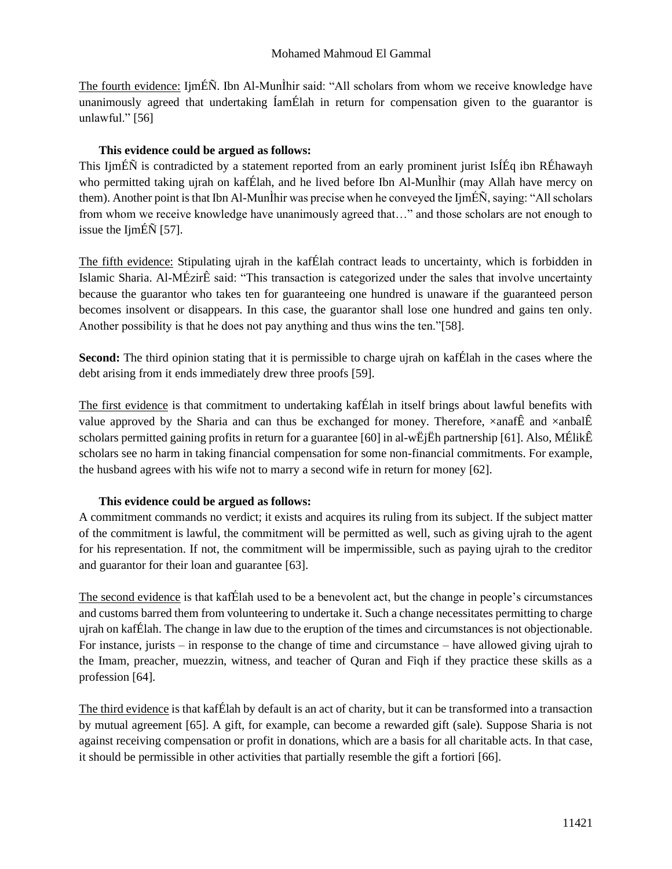The fourth evidence: IjmÉÑ. Ibn Al-MunÌhir said: "All scholars from whom we receive knowledge have unanimously agreed that undertaking ÍamÉlah in return for compensation given to the guarantor is unlawful." [56]

## **This evidence could be argued as follows:**

This IjmÉÑ is contradicted by a statement reported from an early prominent jurist IsÍÉq ibn RÉhawayh who permitted taking ujrah on kafÉlah, and he lived before Ibn Al-MunÌhir (may Allah have mercy on them). Another point is that Ibn Al-MunÌhir was precise when he conveyed the IjmÉÑ, saying: "All scholars from whom we receive knowledge have unanimously agreed that…" and those scholars are not enough to issue the IjmÉÑ [57].

The fifth evidence: Stipulating ujrah in the kafÉlah contract leads to uncertainty, which is forbidden in Islamic Sharia. Al-MÉzirÊ said: "This transaction is categorized under the sales that involve uncertainty because the guarantor who takes ten for guaranteeing one hundred is unaware if the guaranteed person becomes insolvent or disappears. In this case, the guarantor shall lose one hundred and gains ten only. Another possibility is that he does not pay anything and thus wins the ten."[58].

**Second:** The third opinion stating that it is permissible to charge ujrah on kafÉlah in the cases where the debt arising from it ends immediately drew three proofs [59].

The first evidence is that commitment to undertaking kafÉlah in itself brings about lawful benefits with value approved by the Sharia and can thus be exchanged for money. Therefore,  $\times$ anafÊ and  $\times$ anbalÊ scholars permitted gaining profits in return for a guarantee [60] in al-wËjËh partnership [61]. Also, MÉlikÊ scholars see no harm in taking financial compensation for some non-financial commitments. For example, the husband agrees with his wife not to marry a second wife in return for money [62].

## **This evidence could be argued as follows:**

A commitment commands no verdict; it exists and acquires its ruling from its subject. If the subject matter of the commitment is lawful, the commitment will be permitted as well, such as giving ujrah to the agent for his representation. If not, the commitment will be impermissible, such as paying ujrah to the creditor and guarantor for their loan and guarantee [63].

The second evidence is that kafÉlah used to be a benevolent act, but the change in people's circumstances and customs barred them from volunteering to undertake it. Such a change necessitates permitting to charge ujrah on kafÉlah. The change in law due to the eruption of the times and circumstances is not objectionable. For instance, jurists – in response to the change of time and circumstance – have allowed giving ujrah to the Imam, preacher, muezzin, witness, and teacher of Quran and Fiqh if they practice these skills as a profession [64].

The third evidence is that kafÉlah by default is an act of charity, but it can be transformed into a transaction by mutual agreement [65]. A gift, for example, can become a rewarded gift (sale). Suppose Sharia is not against receiving compensation or profit in donations, which are a basis for all charitable acts. In that case, it should be permissible in other activities that partially resemble the gift a fortiori [66].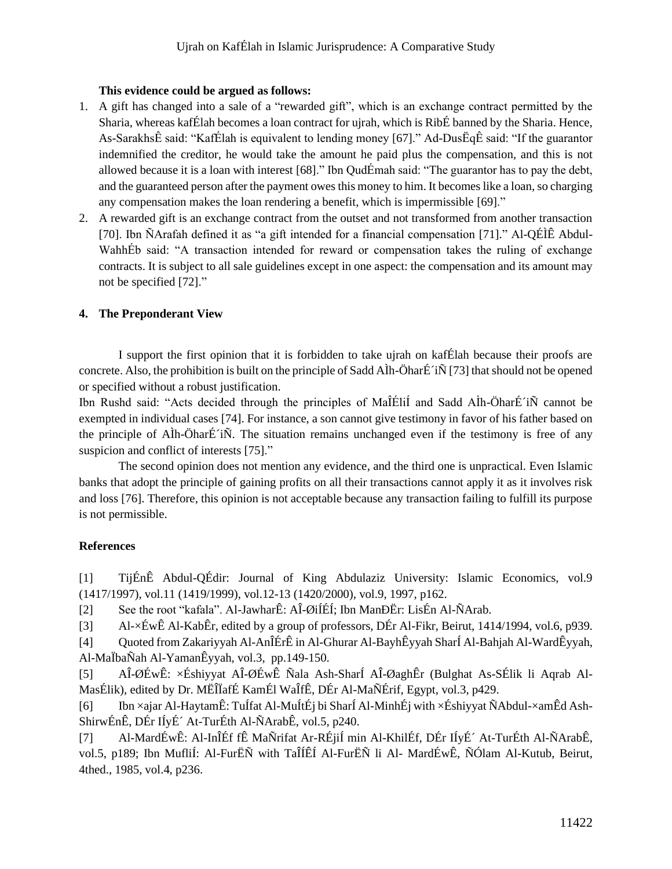## **This evidence could be argued as follows:**

- 1. A gift has changed into a sale of a "rewarded gift", which is an exchange contract permitted by the Sharia, whereas kafÉlah becomes a loan contract for ujrah, which is RibÉ banned by the Sharia. Hence, As-SarakhsÊ said: "KafÉlah is equivalent to lending money [67]." Ad-DusËqÊ said: "If the guarantor indemnified the creditor, he would take the amount he paid plus the compensation, and this is not allowed because it is a loan with interest [68]." Ibn QudÉmah said: "The guarantor has to pay the debt, and the guaranteed person after the payment owes this money to him. It becomes like a loan, so charging any compensation makes the loan rendering a benefit, which is impermissible [69]."
- 2. A rewarded gift is an exchange contract from the outset and not transformed from another transaction [70]. Ibn ÑArafah defined it as "a gift intended for a financial compensation [71]." Al-QÉÌÊ Abdul-WahhÉb said: "A transaction intended for reward or compensation takes the ruling of exchange contracts. It is subject to all sale guidelines except in one aspect: the compensation and its amount may not be specified [72]."

# **4. The Preponderant View**

I support the first opinion that it is forbidden to take ujrah on kafÉlah because their proofs are concrete. Also, the prohibition is built on the principle of Sadd AÌh-ÖharÉ´iÑ [73] that should not be opened or specified without a robust justification.

Ibn Rushd said: "Acts decided through the principles of MaÎÉliÍ and Sadd AÌh-ÖharÉ´iÑ cannot be exempted in individual cases [74]. For instance, a son cannot give testimony in favor of his father based on the principle of AÌh-ÖharÉ´iÑ. The situation remains unchanged even if the testimony is free of any suspicion and conflict of interests [75]."

The second opinion does not mention any evidence, and the third one is unpractical. Even Islamic banks that adopt the principle of gaining profits on all their transactions cannot apply it as it involves risk and loss [76]. Therefore, this opinion is not acceptable because any transaction failing to fulfill its purpose is not permissible.

# **References**

[1] TijÉnÊ Abdul-QÉdir: Journal of King Abdulaziz University: Islamic Economics, vol.9 (1417/1997), vol.11 (1419/1999), vol.12-13 (1420/2000), vol.9, 1997, p162.

[2] See the root "kafala". Al-JawharÊ: AÎ-ØiÍÉÍ; Ibn ManÐËr: LisÉn Al-ÑArab.

[3] Al-×ÉwÊ Al-KabÊr, edited by a group of professors, DÉr Al-Fikr, Beirut, 1414/1994, vol.6, p939.

[4] Quoted from Zakariyyah Al-AnÎÉrÊ in Al-Ghurar Al-BayhÊyyah SharÍ Al-Bahjah Al-WardÊyyah, Al-MaÏbaÑah Al-YamanÊyyah, vol.3, pp.149-150.

[5] AÎ-ØÉwÊ: ×Éshiyyat AÎ-ØÉwÊ Ñala Ash-SharÍ AÎ-ØaghÊr (Bulghat As-SÉlik li Aqrab Al-MasÉlik), edited by Dr. MËÎÏafÉ KamÉl WaÎfÊ, DÉr Al-MaÑÉrif, Egypt, vol.3, p429.

[6] Ibn ×ajar Al-HaytamÊ: TuÍfat Al-MuÍtÉj bi SharÍ Al-MinhÉj with ×Éshiyyat ÑAbdul-×amÊd Ash-ShirwÉnÊ, DÉr IÍyÉ´ At-TurÉth Al-ÑArabÊ, vol.5, p240.

[7] Al-MardÉwÊ: Al-InÎÉf fÊ MaÑrifat Ar-RÉjiÍ min Al-KhilÉf, DÉr IÍyÉ´ At-TurÉth Al-ÑArabÊ, vol.5, p189; Ibn MufliÍ: Al-FurËÑ with TaÎÍÊÍ Al-FurËÑ li Al- MardÉwÊ, ÑÓlam Al-Kutub, Beirut, 4thed., 1985, vol.4, p236.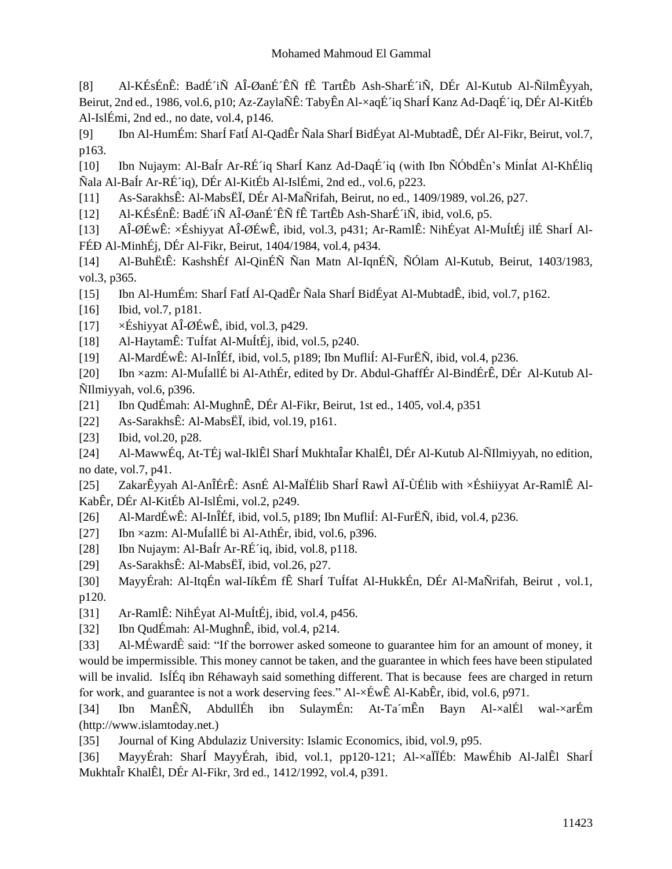[8] Al-KÉsÉnÊ: BadÉ´iÑ AÎ-ØanÉ´ÊÑ fÊ TartÊb Ash-SharÉ´iÑ, DÉr Al-Kutub Al-ÑilmÊyyah, Beirut, 2nd ed., 1986, vol.6, p10; Az-ZaylaÑÊ: TabyÊn Al-×aqÉ´iq SharÍ Kanz Ad-DaqÉ´iq, DÉr Al-KitÉb Al-IslÉmi, 2nd ed., no date, vol.4, p146.

[9] Ibn Al-HumÉm: SharÍ FatÍ Al-QadÊr Ñala SharÍ BidÉyat Al-MubtadÊ, DÉr Al-Fikr, Beirut, vol.7, p163.

[10] Ibn Nujaym: Al-BaÍr Ar-RÉ´iq SharÍ Kanz Ad-DaqÉ´iq (with Ibn ÑÓbdÊn's MinÍat Al-KhÉliq Ñala Al-BaÍr Ar-RÉ´iq), DÉr Al-KitÉb Al-IslÉmi, 2nd ed., vol.6, p223.

- [11] As-SarakhsÊ: Al-MabsËÏ, DÉr Al-MaÑrifah, Beirut, no ed., 1409/1989, vol.26, p27.
- [12] Al-KÉsÉnÊ: BadÉ´iÑ AÎ-ØanÉ´ÊÑ fÊ TartÊb Ash-SharÉ´iÑ, ibid, vol.6, p5.

[13] AÎ-ØÉwÊ: ×Éshiyyat AÎ-ØÉwÊ, ibid, vol.3, p431; Ar-RamlÊ: NihÉyat Al-MuÍtÉj ilÉ SharÍ Al-FÉÐ Al-MinhÉj, DÉr Al-Fikr, Beirut, 1404/1984, vol.4, p434.

[14] Al-BuhËtÊ: KashshÉf Al-QinÉÑ Ñan Matn Al-IqnÉÑ, ÑÓlam Al-Kutub, Beirut, 1403/1983, vol.3, p365.

[15] Ibn Al-HumÉm: SharÍ FatÍ Al-QadÊr Ñala SharÍ BidÉyat Al-MubtadÊ, ibid, vol.7, p162.

[16] Ibid, vol.7, p181.

- [17]  $\times$ Éshiyyat AÎ-ØÉwÊ, ibid, vol.3, p429.
- [18] Al-HaytamÊ: TuÍfat Al-MuÍtÉj, ibid, vol.5, p240.
- [19] Al-MardÉwÊ: Al-InÎÉf, ibid, vol.5, p189; Ibn MufliÍ: Al-FurËÑ, ibid, vol.4, p236.

[20] Ibn ×azm: Al-MuÍallÉ bi Al-AthÉr, edited by Dr. Abdul-GhaffÉr Al-BindÉrÊ, DÉr Al-Kutub Al-ÑIlmiyyah, vol.6, p396.

- [21] Ibn QudÉmah: Al-MughnÊ, DÉr Al-Fikr, Beirut, 1st ed., 1405, vol.4, p351
- [22] As-SarakhsÊ: Al-MabsËÏ, ibid, vol.19, p161.
- [23] Ibid, vol.20, p28.

[24] Al-MawwÉq, At-TÉj wal-IklÊl SharÍ MukhtaÎar KhalÊl, DÉr Al-Kutub Al-ÑIlmiyyah, no edition, no date, vol.7, p41.

[25] ZakarÊyyah Al-AnÎÉrÊ: AsnÉ Al-MaÏÉlib SharÍ RawÌ AÏ-ÙÉlib with ×Éshiiyyat Ar-RamlÊ Al-KabÊr, DÉr Al-KitÉb Al-IslÉmi, vol.2, p249.

- [26] Al-MardÉwÊ: Al-InÎÉf, ibid, vol.5, p189; Ibn MufliÍ: Al-FurËÑ, ibid, vol.4, p236.
- [27] Ibn ×azm: Al-MuÍallÉ bi Al-AthÉr, ibid, vol.6, p396.
- [28] Ibn Nujaym: Al-BaÍr Ar-RÉ´iq, ibid, vol.8, p118.
- [29] As-SarakhsÊ: Al-MabsËÏ, ibid, vol.26, p27.
- [30] MayyÉrah: Al-ItqÉn wal-IíkÉm fÊ SharÍ TuÍfat Al-HukkÉn, DÉr Al-MaÑrifah, Beirut , vol.1, p120.
- [31] Ar-RamlÊ: NihÉyat Al-MuÍtÉj, ibid, vol.4, p456.
- [32] Ibn QudÉmah: Al-MughnÊ, ibid, vol.4, p214.

[33] Al-MÉwardÊ said: "If the borrower asked someone to guarantee him for an amount of money, it would be impermissible. This money cannot be taken, and the guarantee in which fees have been stipulated will be invalid. Is IEq ibn Réhawayh said something different. That is because fees are charged in return for work, and guarantee is not a work deserving fees." Al-×ÉwÊ Al-KabÊr, ibid, vol.6, p971.

[34] Ibn ManÊÑ, AbdullÉh ibn SulaymÉn: At-Ta´mÊn Bayn Al-×alÉl wal-×arÉm (http://www.islamtoday.net.)

[35] Journal of King Abdulaziz University: Islamic Economics, ibid, vol.9, p95.

[36] MayyÉrah: SharÍ MayyÉrah, ibid, vol.1, pp120-121; Al-×aÏÏÉb: MawÉhib Al-JalÊl SharÍ MukhtaÎr KhalÊl, DÉr Al-Fikr, 3rd ed., 1412/1992, vol.4, p391.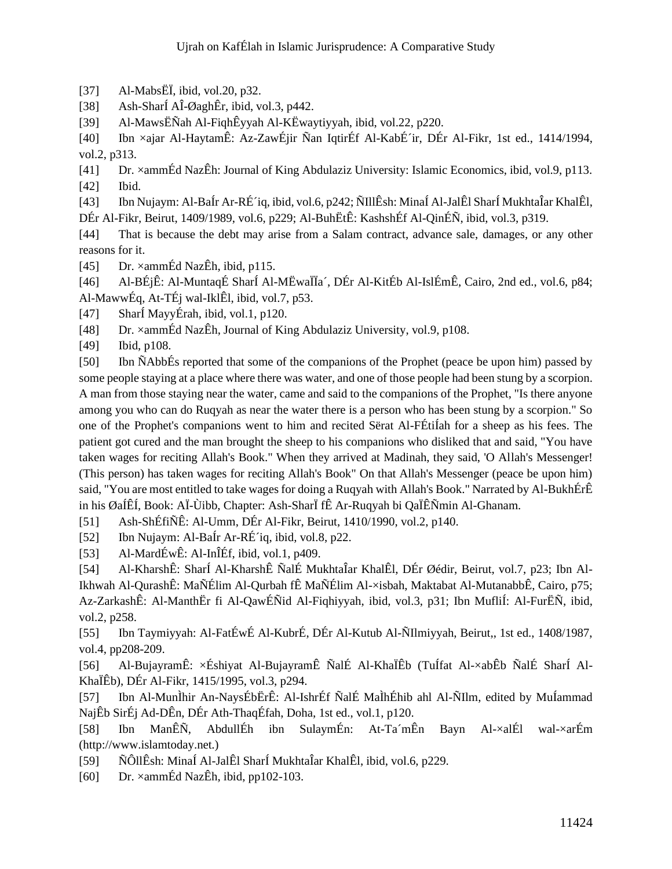- [37] Al-MabsËÏ, ibid, vol.20, p32.
- [38] Ash-SharÍ AÎ-ØaghÊr, ibid, vol.3, p442.

[39] Al-MawsËÑah Al-FiqhÊyyah Al-KËwaytiyyah, ibid, vol.22, p220.

[40] Ibn ×ajar Al-HaytamÊ: Az-ZawÉjir Ñan IqtirÉf Al-KabÉ´ir, DÉr Al-Fikr, 1st ed., 1414/1994, vol.2, p313.

[41] Dr. ×ammÉd NazÊh: Journal of King Abdulaziz University: Islamic Economics, ibid, vol.9, p113. [42] Ibid.

[43] Ibn Nujaym: Al-BaÍr Ar-RÉ´iq, ibid, vol.6, p242; ÑIllÊsh: MinaÍ Al-JalÊl SharÍ MukhtaÎar KhalÊl, DÉr Al-Fikr, Beirut, 1409/1989, vol.6, p229; Al-BuhËtÊ: KashshÉf Al-QinÉÑ, ibid, vol.3, p319.

[44] That is because the debt may arise from a Salam contract, advance sale, damages, or any other reasons for it.

[45] Dr. ×ammÉd NazÊh, ibid, p115.

[46] Al-BÉjÊ: Al-MuntaqÉ SharÍ Al-MËwaÏÏa´, DÉr Al-KitÉb Al-IslÉmÊ, Cairo, 2nd ed., vol.6, p84; Al-MawwÉq, At-TÉj wal-IklÊl, ibid, vol.7, p53.

[47] SharÍ MayyÉrah, ibid, vol.1, p120.

[48] Dr. ×ammÉd NazÊh, Journal of King Abdulaziz University, vol.9, p108.

[49] Ibid, p108.

[50] Ibn ÑAbbÉs reported that some of the companions of the Prophet (peace be upon him) passed by some people staying at a place where there was water, and one of those people had been stung by a scorpion. A man from those staying near the water, came and said to the companions of the Prophet, "Is there anyone among you who can do Ruqyah as near the water there is a person who has been stung by a scorpion." So one of the Prophet's companions went to him and recited Sërat Al-FÉtiÍah for a sheep as his fees. The patient got cured and the man brought the sheep to his companions who disliked that and said, "You have taken wages for reciting Allah's Book." When they arrived at Madinah, they said, 'O Allah's Messenger! (This person) has taken wages for reciting Allah's Book" On that Allah's Messenger (peace be upon him) said, "You are most entitled to take wages for doing a Ruqyah with Allah's Book." Narrated by Al-BukhÉrÊ in his ØaÍÊÍ, Book: AÏ-Ùibb, Chapter: Ash-SharÏ fÊ Ar-Ruqyah bi QaÏÊÑmin Al-Ghanam.

[51] Ash-ShÉfiÑÊ: Al-Umm, DÉr Al-Fikr, Beirut, 1410/1990, vol.2, p140.

[52] Ibn Nujaym: Al-BaÍr Ar-RÉ´iq, ibid, vol.8, p22.

[53] Al-MardÉwÊ: Al-InÎÉf, ibid, vol.1, p409.

[54] Al-KharshÊ: SharÍ Al-KharshÊ ÑalÉ MukhtaÎar KhalÊl, DÉr Øédir, Beirut, vol.7, p23; Ibn Al-Ikhwah Al-QurashÊ: MaÑÉlim Al-Qurbah fÊ MaÑÉlim Al-×isbah, Maktabat Al-MutanabbÊ, Cairo, p75; Az-ZarkashÊ: Al-ManthËr fi Al-QawÉÑid Al-Fiqhiyyah, ibid, vol.3, p31; Ibn MufliÍ: Al-FurËÑ, ibid, vol.2, p258.

[55] Ibn Taymiyyah: Al-FatÉwÉ Al-KubrÉ, DÉr Al-Kutub Al-ÑIlmiyyah, Beirut,, 1st ed., 1408/1987, vol.4, pp208-209.

[56] Al-BujayramÊ: ×Éshiyat Al-BujayramÊ ÑalÉ Al-KhaÏÊb (TuÍfat Al-×abÊb ÑalÉ SharÍ Al-KhaÏÊb), DÉr Al-Fikr, 1415/1995, vol.3, p294.

[57] Ibn Al-MunÌhir An-NaysÉbËrÊ: Al-IshrÉf ÑalÉ MaÌhÉhib ahl Al-ÑIlm, edited by MuÍammad NajÊb SirÉj Ad-DÊn, DÉr Ath-ThaqÉfah, Doha, 1st ed., vol.1, p120.

[58] Ibn ManÊÑ, AbdullÉh ibn SulaymÉn: At-Ta´mÊn Bayn Al-×alÉl wal-×arÉm (http://www.islamtoday.net.)

[59] ÑÔllÊsh: MinaÍ Al-JalÊl SharÍ MukhtaÎar KhalÊl, ibid, vol.6, p229.

[60] Dr. ×ammÉd NazÊh, ibid, pp102-103.